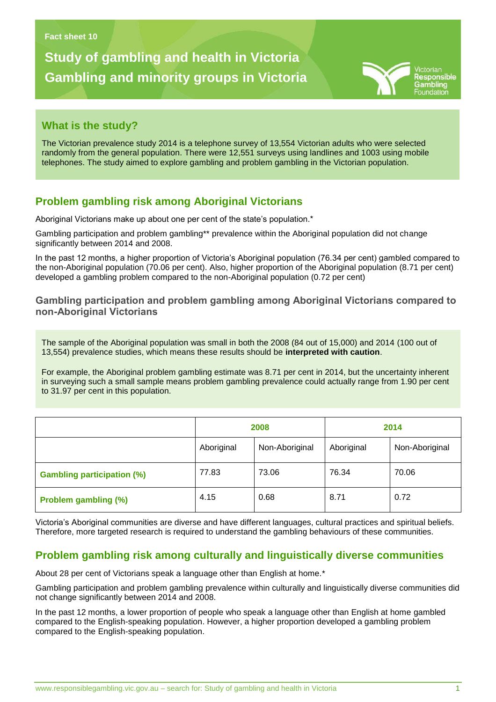# **Study of gambling and health in Victoria Gambling and minority groups in Victoria**

**Gambling problems in Victoria**



## **What is the study?**

The Victorian prevalence study 2014 is a telephone survey of 13,554 Victorian adults who were selected randomly from the general population. There were 12,551 surveys using landlines and 1003 using mobile telephones. The study aimed to explore gambling and problem gambling in the Victorian population.

## **Problem gambling risk among Aboriginal Victorians**

Aboriginal Victorians make up about one per cent of the state's population.\*

Gambling participation and problem gambling\*\* prevalence within the Aboriginal population did not change significantly between 2014 and 2008.

In the past 12 months, a higher proportion of Victoria's Aboriginal population (76.34 per cent) gambled compared to the non-Aboriginal population (70.06 per cent). Also, higher proportion of the Aboriginal population (8.71 per cent) developed a gambling problem compared to the non-Aboriginal population (0.72 per cent)

#### **Gambling participation and problem gambling among Aboriginal Victorians compared to non-Aboriginal Victorians**

The sample of the Aboriginal population was small in both the 2008 (84 out of 15,000) and 2014 (100 out of 13,554) prevalence studies, which means these results should be **interpreted with caution**.

For example, the Aboriginal problem gambling estimate was 8.71 per cent in 2014, but the uncertainty inherent in surveying such a small sample means problem gambling prevalence could actually range from 1.90 per cent to 31.97 per cent in this population.

|                                   | 2008       |                | 2014       |                |
|-----------------------------------|------------|----------------|------------|----------------|
|                                   | Aboriginal | Non-Aboriginal | Aboriginal | Non-Aboriginal |
| <b>Gambling participation (%)</b> | 77.83      | 73.06          | 76.34      | 70.06          |
| <b>Problem gambling (%)</b>       | 4.15       | 0.68           | 8.71       | 0.72           |

Victoria's Aboriginal communities are diverse and have different languages, cultural practices and spiritual beliefs. Therefore, more targeted research is required to understand the gambling behaviours of these communities.

## **Problem gambling risk among culturally and linguistically diverse communities**

About 28 per cent of Victorians speak a language other than English at home.\*

Gambling participation and problem gambling prevalence within culturally and linguistically diverse communities did not change significantly between 2014 and 2008.

In the past 12 months, a lower proportion of people who speak a language other than English at home gambled compared to the English-speaking population. However, a higher proportion developed a gambling problem compared to the English-speaking population.